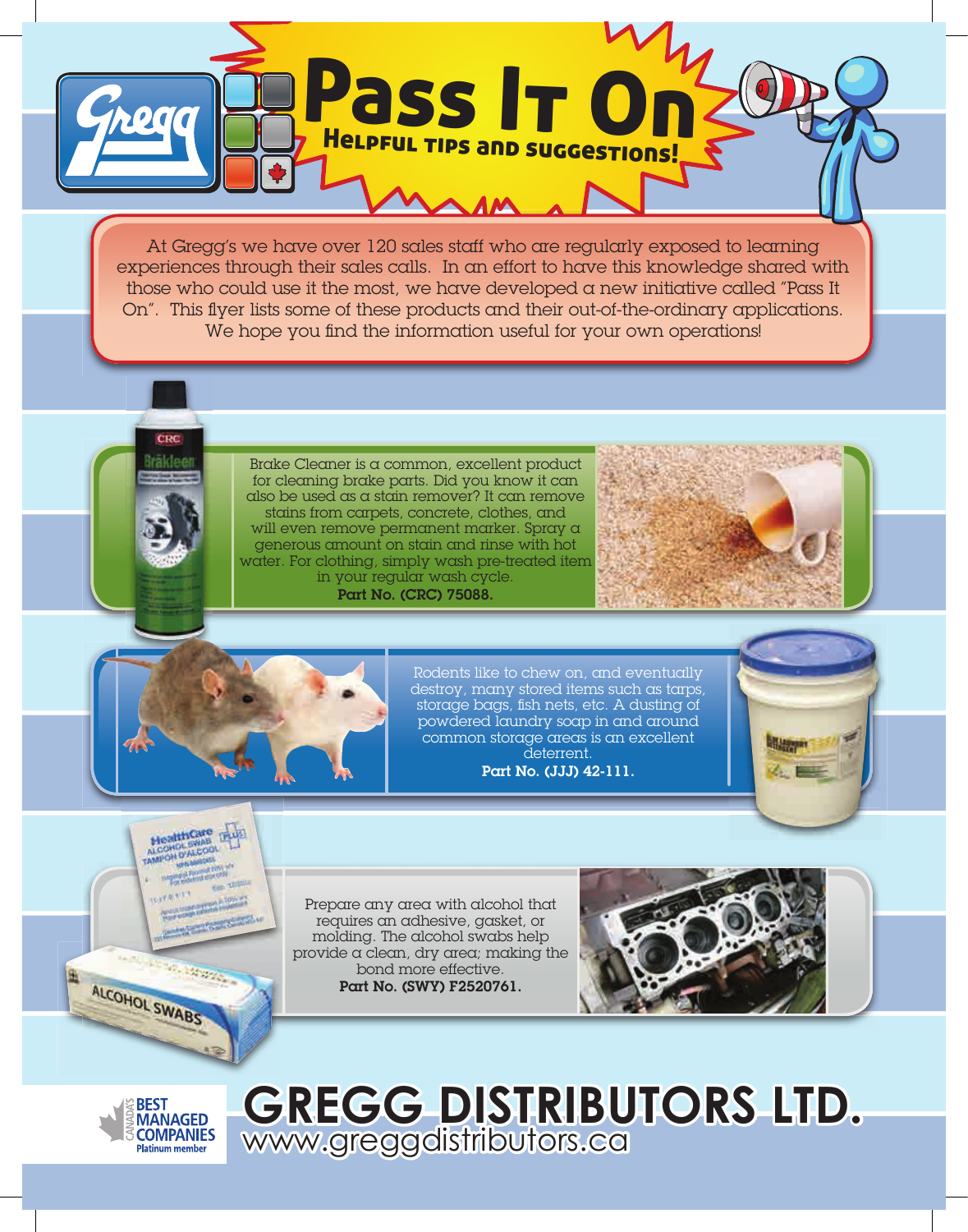

At Gregg's we have over 120 sales staff who are regularly exposed to learning experiences through their sales calls. In an effort to have this knowledge shared with those who could use it the most, we have developed a new initiative called "Pass It On". This flyer lists some of these products and their out-of-the-ordinary applications. We hope you find the information useful for your own operations!







HealthCare Trus DNOL SWAB

Rodents like to chew on, and eventually destroy, many stored items such as tarps, storage bags, fish nets, etc. A dusting of powdered laundry soap in and around common storage areas is an excellent deterrent.

Part No. (JJJ) 42-111.



Prepare any area with alcohol that requires an adhesive, gasket, or molding. The alcohol swabs help provide a clean, dry area; making the bond more effective. Part No. (SWY) F2520761.





ALCOHOL SWABS

**GREGG DISTRIBUTORS LTD.**  www.greggdistributors.ca